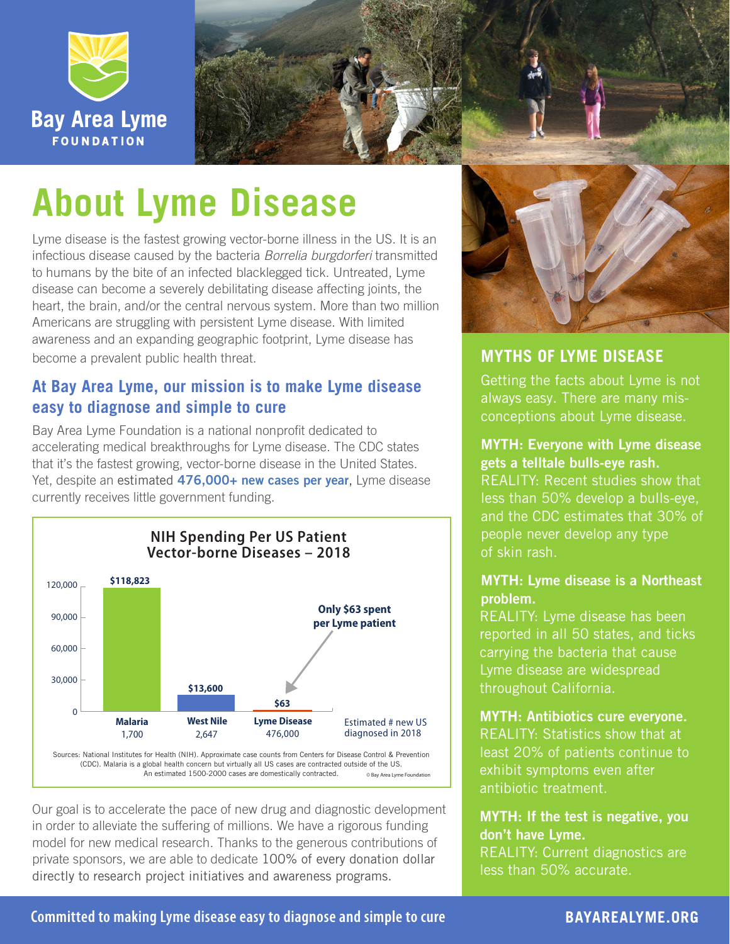



# **About Lyme Disease**

Lyme disease is the fastest growing vector-borne illness in the US. It is an infectious disease caused by the bacteria *Borrelia burgdorferi* transmitted to humans by the bite of an infected blacklegged tick. Untreated, Lyme disease can become a severely debilitating disease affecting joints, the heart, the brain, and/or the central nervous system. More than two million Americans are struggling with persistent Lyme disease. With limited awareness and an expanding geographic footprint, Lyme disease has become a prevalent public health threat.

## **At Bay Area Lyme, our mission is to make Lyme disease easy to diagnose and simple to cure**

Bay Area Lyme Foundation is a national nonprofit dedicated to accelerating medical breakthroughs for Lyme disease. The CDC states that it's the fastest growing, vector-borne disease in the United States. Yet, despite an estimated [476,000+ new cases per year](https://www.cdc.gov/lyme/stats/humancases.html), Lyme disease currently receives little government funding.



An estimated 1500-2000 cases are domestically contracted.

Our goal is to accelerate the pace of new drug and diagnostic development in order to alleviate the suffering of millions. We have a rigorous funding model for new medical research. Thanks to the generous contributions of private sponsors, we are able to dedicate 100% of every donation dollar directly to research project initiatives and awareness programs.



## **MYTHS OF LYME DISEASE**

Getting the facts about Lyme is not always easy. There are many misconceptions about Lyme disease.

## MYTH: Everyone with Lyme disease

gets a telltale bulls-eye rash. REALITY: Recent studies show that less than 50% develop a bulls-eye, and the CDC estimates that 30% of people never develop any type of skin rash.

## MYTH: Lyme disease is a Northeast problem.

REALITY: Lyme disease has been reported in all 50 states, and ticks carrying the bacteria that cause Lyme disease are widespread throughout California.

### MYTH: Antibiotics cure everyone.

REALITY: Statistics show that at least 20% of patients continue to exhibit symptoms even after antibiotic treatment.

## MYTH: If the test is negative, you don't have Lyme.

REALITY: Current diagnostics are less than 50% accurate.